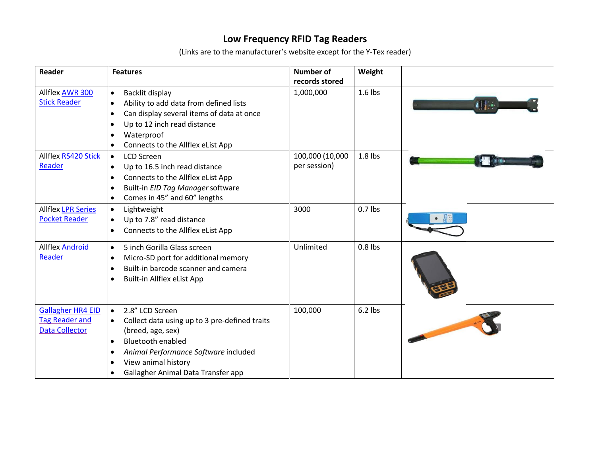## **Low Frequency RFID Tag Readers**

(Links are to the manufacturer's website except for the Y-Tex reader)

| Reader                                                              | <b>Features</b>                                                                                                                                                                                                                                                                         | <b>Number of</b><br>records stored | Weight    |    |
|---------------------------------------------------------------------|-----------------------------------------------------------------------------------------------------------------------------------------------------------------------------------------------------------------------------------------------------------------------------------------|------------------------------------|-----------|----|
| Allflex AWR 300<br><b>Stick Reader</b>                              | Backlit display<br>$\bullet$<br>Ability to add data from defined lists<br>$\bullet$<br>Can display several items of data at once<br>$\bullet$<br>Up to 12 inch read distance<br>$\bullet$<br>Waterproof<br>$\bullet$<br>Connects to the Allflex eList App<br>$\bullet$                  | 1,000,000                          | $1.6$ lbs | 利用 |
| Allflex RS420 Stick<br>Reader                                       | <b>LCD Screen</b><br>$\bullet$<br>Up to 16.5 inch read distance<br>$\bullet$<br>Connects to the Allflex eList App<br>$\bullet$<br>Built-in EID Tag Manager software<br>$\bullet$<br>Comes in 45" and 60" lengths<br>$\bullet$                                                           | 100,000 (10,000<br>per session)    | $1.8$ lbs |    |
| <b>Allflex LPR Series</b><br><b>Pocket Reader</b>                   | Lightweight<br>$\bullet$<br>Up to 7.8" read distance<br>$\bullet$<br>Connects to the Allflex eList App<br>$\bullet$                                                                                                                                                                     | 3000                               | $0.7$ lbs |    |
| Allflex <b>Android</b><br>Reader                                    | 5 inch Gorilla Glass screen<br>$\bullet$<br>Micro-SD port for additional memory<br>$\bullet$<br>Built-in barcode scanner and camera<br>$\bullet$<br>Built-in Allflex eList App<br>$\bullet$                                                                                             | Unlimited                          | $0.8$ lbs |    |
| <b>Gallagher HR4 EID</b><br><b>Tag Reader and</b><br>Data Collector | 2.8" LCD Screen<br>$\bullet$<br>Collect data using up to 3 pre-defined traits<br>(breed, age, sex)<br><b>Bluetooth enabled</b><br>$\bullet$<br>Animal Performance Software included<br>$\bullet$<br>View animal history<br>$\bullet$<br>Gallagher Animal Data Transfer app<br>$\bullet$ | 100,000                            | $6.2$ lbs |    |